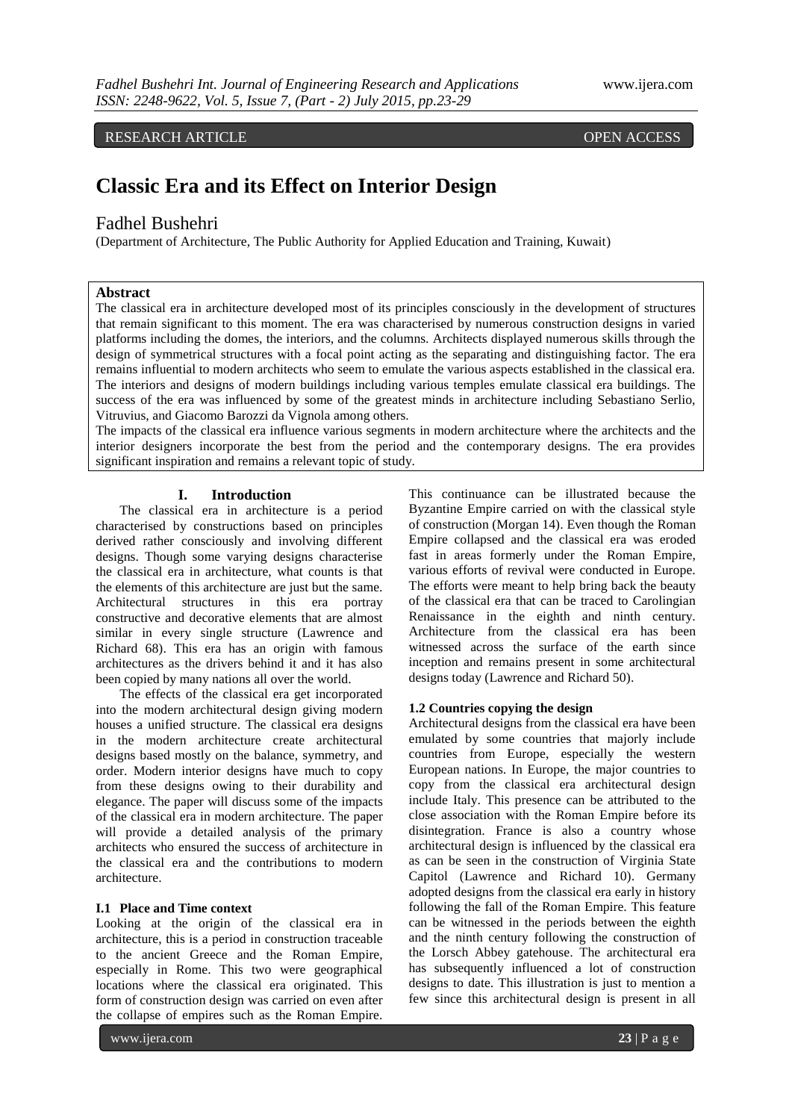RESEARCH ARTICLE **CONSERVERS** 

# **Classic Era and its Effect on Interior Design**

# Fadhel Bushehri

(Department of Architecture, The Public Authority for Applied Education and Training, Kuwait)

# **Abstract**

The classical era in architecture developed most of its principles consciously in the development of structures that remain significant to this moment. The era was characterised by numerous construction designs in varied platforms including the domes, the interiors, and the columns. Architects displayed numerous skills through the design of symmetrical structures with a focal point acting as the separating and distinguishing factor. The era remains influential to modern architects who seem to emulate the various aspects established in the classical era. The interiors and designs of modern buildings including various temples emulate classical era buildings. The success of the era was influenced by some of the greatest minds in architecture including Sebastiano Serlio, Vitruvius, and Giacomo Barozzi da Vignola among others.

The impacts of the classical era influence various segments in modern architecture where the architects and the interior designers incorporate the best from the period and the contemporary designs. The era provides significant inspiration and remains a relevant topic of study.

# **I. Introduction**

The classical era in architecture is a period characterised by constructions based on principles derived rather consciously and involving different designs. Though some varying designs characterise the classical era in architecture, what counts is that the elements of this architecture are just but the same. Architectural structures in this era portray constructive and decorative elements that are almost similar in every single structure (Lawrence and Richard 68). This era has an origin with famous architectures as the drivers behind it and it has also been copied by many nations all over the world.

The effects of the classical era get incorporated into the modern architectural design giving modern houses a unified structure. The classical era designs in the modern architecture create architectural designs based mostly on the balance, symmetry, and order. Modern interior designs have much to copy from these designs owing to their durability and elegance. The paper will discuss some of the impacts of the classical era in modern architecture. The paper will provide a detailed analysis of the primary architects who ensured the success of architecture in the classical era and the contributions to modern architecture.

## **I.1 Place and Time context**

Looking at the origin of the classical era in architecture, this is a period in construction traceable to the ancient Greece and the Roman Empire, especially in Rome. This two were geographical locations where the classical era originated. This form of construction design was carried on even after the collapse of empires such as the Roman Empire.

This continuance can be illustrated because the Byzantine Empire carried on with the classical style of construction (Morgan 14). Even though the Roman Empire collapsed and the classical era was eroded fast in areas formerly under the Roman Empire, various efforts of revival were conducted in Europe. The efforts were meant to help bring back the beauty of the classical era that can be traced to Carolingian Renaissance in the eighth and ninth century. Architecture from the classical era has been witnessed across the surface of the earth since inception and remains present in some architectural designs today (Lawrence and Richard 50).

## **1.2 Countries copying the design**

Architectural designs from the classical era have been emulated by some countries that majorly include countries from Europe, especially the western European nations. In Europe, the major countries to copy from the classical era architectural design include Italy. This presence can be attributed to the close association with the Roman Empire before its disintegration. France is also a country whose architectural design is influenced by the classical era as can be seen in the construction of Virginia State Capitol (Lawrence and Richard 10). Germany adopted designs from the classical era early in history following the fall of the Roman Empire. This feature can be witnessed in the periods between the eighth and the ninth century following the construction of the Lorsch Abbey gatehouse. The architectural era has subsequently influenced a lot of construction designs to date. This illustration is just to mention a few since this architectural design is present in all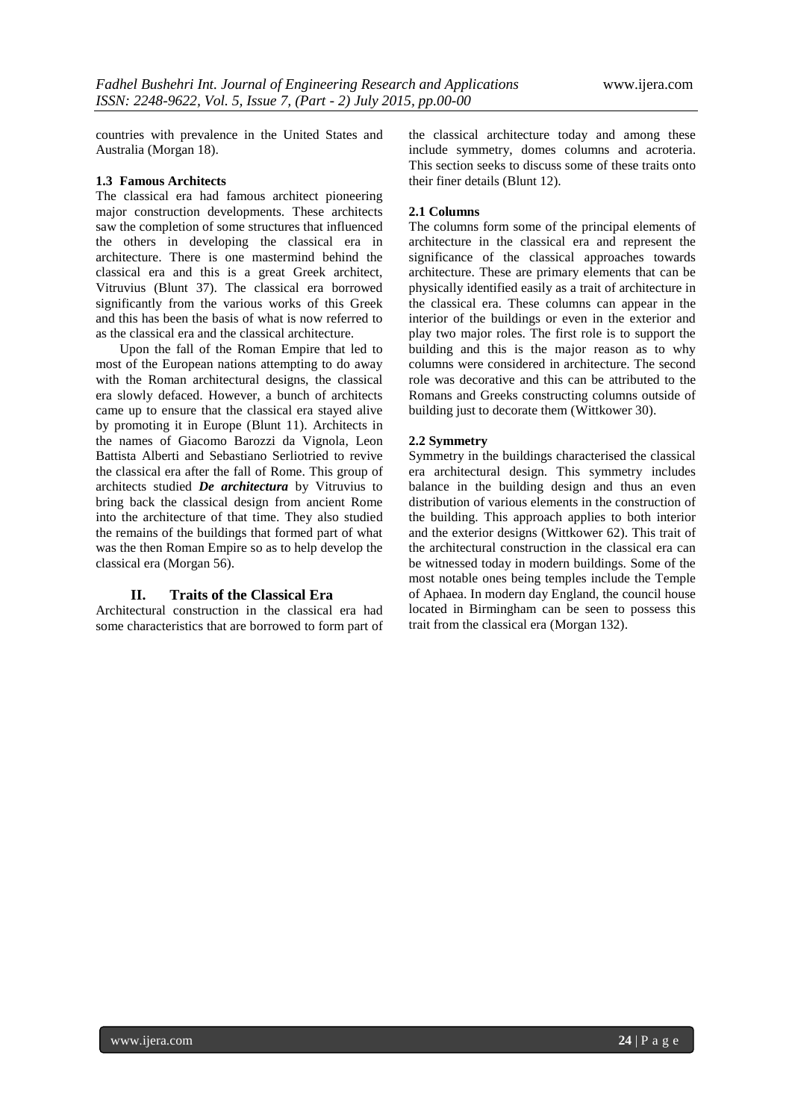countries with prevalence in the United States and Australia (Morgan 18).

## **1.3 Famous Architects**

The classical era had famous architect pioneering major construction developments. These architects saw the completion of some structures that influenced the others in developing the classical era in architecture. There is one mastermind behind the classical era and this is a great Greek architect, Vitruvius (Blunt 37). The classical era borrowed significantly from the various works of this Greek and this has been the basis of what is now referred to as the classical era and the classical architecture.

Upon the fall of the Roman Empire that led to most of the European nations attempting to do away with the Roman architectural designs, the classical era slowly defaced. However, a bunch of architects came up to ensure that the classical era stayed alive by promoting it in Europe (Blunt 11). Architects in the names of [Giacomo Barozzi da Vignola,](http://en.wikipedia.org/wiki/Giacomo_Barozzi_da_Vignola) [Leon](http://en.wikipedia.org/wiki/Leon_Battista_Alberti)  [Battista Alberti](http://en.wikipedia.org/wiki/Leon_Battista_Alberti) and [Sebastiano Serliot](http://en.wikipedia.org/wiki/Sebastiano_Serlio)ried to revive the classical era after the fall of Rome. This group of architects studied *[De architectura](http://en.wikipedia.org/wiki/De_architectura)* by Vitruvius to bring back the classical design from ancient Rome into the architecture of that time. They also studied the remains of the buildings that formed part of what was the then Roman Empire so as to help develop the classical era (Morgan 56).

## **II. Traits of the Classical Era**

Architectural construction in the classical era had some characteristics that are borrowed to form part of the classical architecture today and among these include symmetry, domes columns and acroteria. This section seeks to discuss some of these traits onto their finer details (Blunt 12).

### **2.1 Columns**

The columns form some of the principal elements of architecture in the classical era and represent the significance of the classical approaches towards architecture. These are primary elements that can be physically identified easily as a trait of architecture in the classical era. These columns can appear in the interior of the buildings or even in the exterior and play two major roles. The first role is to support the building and this is the major reason as to why columns were considered in architecture. The second role was decorative and this can be attributed to the Romans and Greeks constructing columns outside of building just to decorate them (Wittkower 30).

## **2.2 Symmetry**

Symmetry in the buildings characterised the classical era architectural design. This symmetry includes balance in the building design and thus an even distribution of various elements in the construction of the building. This approach applies to both interior and the exterior designs (Wittkower 62). This trait of the architectural construction in the classical era can be witnessed today in modern buildings. Some of the most notable ones being temples include the Temple of Aphaea. In modern day England, the council house located in Birmingham can be seen to possess this trait from the classical era (Morgan 132).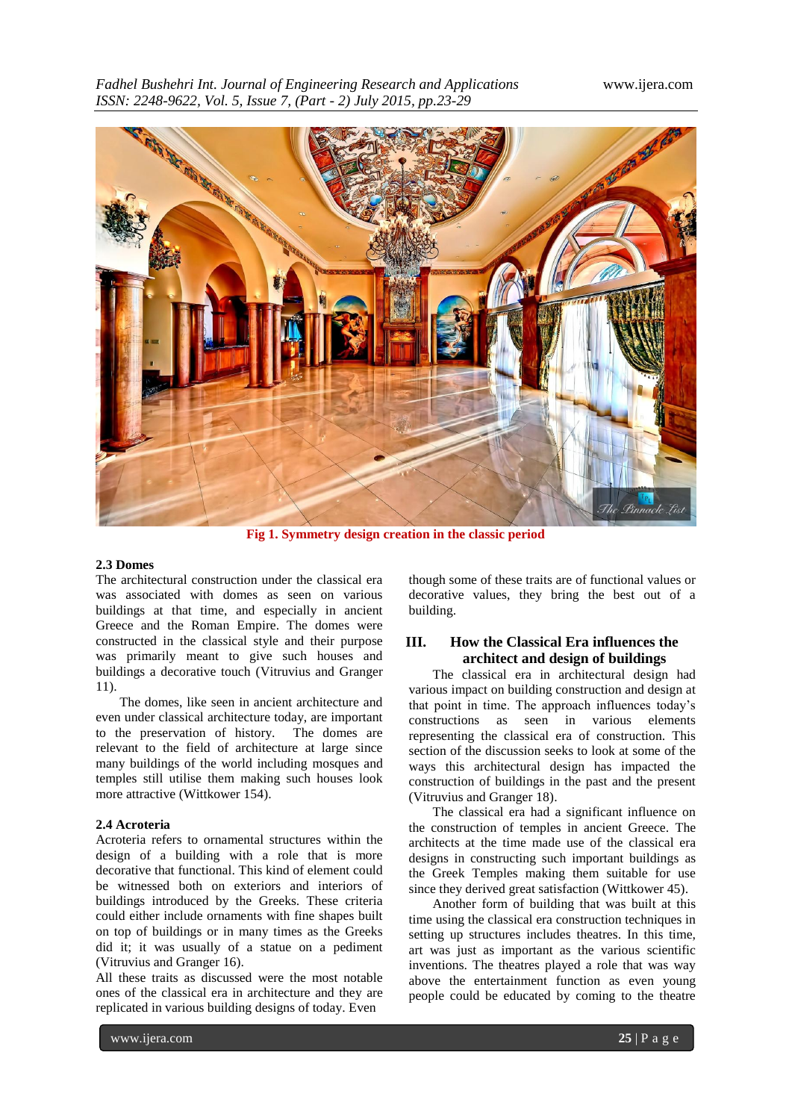

**Fig 1. Symmetry design creation in the classic period**

#### **2.3 Domes**

The architectural construction under the classical era was associated with domes as seen on various buildings at that time, and especially in ancient Greece and the Roman Empire. The domes were constructed in the classical style and their purpose was primarily meant to give such houses and buildings a decorative touch (Vitruvius and Granger 11).

The domes, like seen in ancient architecture and even under classical architecture today, are important to the preservation of history. The domes are relevant to the field of architecture at large since many buildings of the world including mosques and temples still utilise them making such houses look more attractive (Wittkower 154).

#### **2.4 Acroteria**

Acroteria refers to ornamental structures within the design of a building with a role that is more decorative that functional. This kind of element could be witnessed both on exteriors and interiors of buildings introduced by the Greeks. These criteria could either include ornaments with fine shapes built on top of buildings or in many times as the Greeks did it; it was usually of a statue on a pediment (Vitruvius and Granger 16).

All these traits as discussed were the most notable ones of the classical era in architecture and they are replicated in various building designs of today. Even

though some of these traits are of functional values or decorative values, they bring the best out of a building.

# **III. How the Classical Era influences the architect and design of buildings**

The classical era in architectural design had various impact on building construction and design at that point in time. The approach influences today's constructions as seen in various elements representing the classical era of construction. This section of the discussion seeks to look at some of the ways this architectural design has impacted the construction of buildings in the past and the present (Vitruvius and Granger 18).

The classical era had a significant influence on the construction of temples in ancient Greece. The architects at the time made use of the classical era designs in constructing such important buildings as the Greek Temples making them suitable for use since they derived great satisfaction (Wittkower 45).

Another form of building that was built at this time using the classical era construction techniques in setting up structures includes theatres. In this time, art was just as important as the various scientific inventions. The theatres played a role that was way above the entertainment function as even young people could be educated by coming to the theatre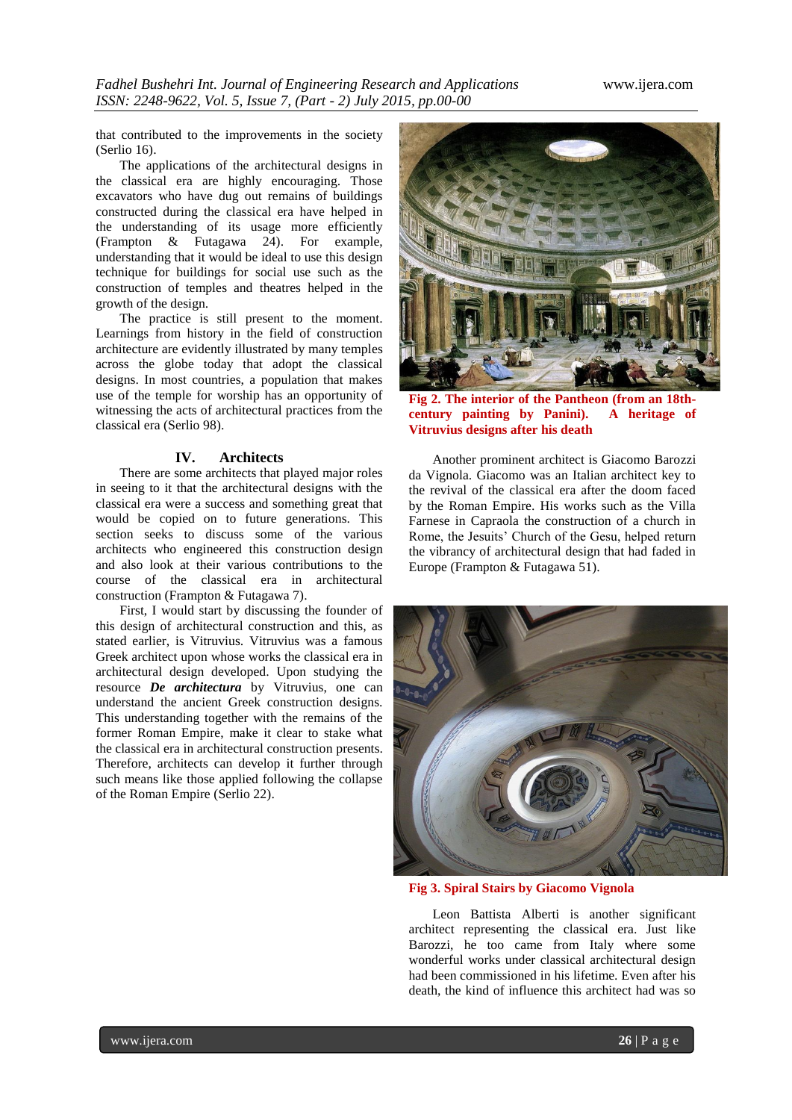that contributed to the improvements in the society (Serlio 16).

The applications of the architectural designs in the classical era are highly encouraging. Those excavators who have dug out remains of buildings constructed during the classical era have helped in the understanding of its usage more efficiently (Frampton & Futagawa 24). For example, understanding that it would be ideal to use this design technique for buildings for social use such as the construction of temples and theatres helped in the growth of the design.

The practice is still present to the moment. Learnings from history in the field of construction architecture are evidently illustrated by many temples across the globe today that adopt the classical designs. In most countries, a population that makes use of the temple for worship has an opportunity of witnessing the acts of architectural practices from the classical era (Serlio 98).

## **IV. Architects**

There are some architects that played major roles in seeing to it that the architectural designs with the classical era were a success and something great that would be copied on to future generations. This section seeks to discuss some of the various architects who engineered this construction design and also look at their various contributions to the course of the classical era in architectural construction (Frampton & Futagawa 7).

First, I would start by discussing the founder of this design of architectural construction and this, as stated earlier, is Vitruvius. Vitruvius was a famous Greek architect upon whose works the classical era in architectural design developed. Upon studying the resource *[De architectura](http://en.wikipedia.org/wiki/De_architectura)* by Vitruvius, one can understand the ancient Greek construction designs. This understanding together with the remains of the former Roman Empire, make it clear to stake what the classical era in architectural construction presents. Therefore, architects can develop it further through such means like those applied following the collapse of the Roman Empire (Serlio 22).



**Fig 2. The interior of the [Pantheon](http://en.wikipedia.org/wiki/Pantheon,_Rome) (from an 18thcentury painting by [Panini\)](http://en.wikipedia.org/wiki/Giovanni_Paolo_Panini). A heritage of Vitruvius designs after his death**

Another prominent architect is Giacomo Barozzi da Vignola. Giacomo was an Italian architect key to the revival of the classical era after the doom faced by the Roman Empire. His works such as the Villa Farnese in Capraola the construction of a church in Rome, the Jesuits' Church of the Gesu, helped return the vibrancy of architectural design that had faded in Europe (Frampton & Futagawa 51).



**Fig 3. Spiral Stairs by Giacomo Vignola**

[Leon Battista Alberti](http://en.wikipedia.org/wiki/Leon_Battista_Alberti) is another significant architect representing the classical era. Just like Barozzi, he too came from Italy where some wonderful works under classical architectural design had been commissioned in his lifetime. Even after his death, the kind of influence this architect had was so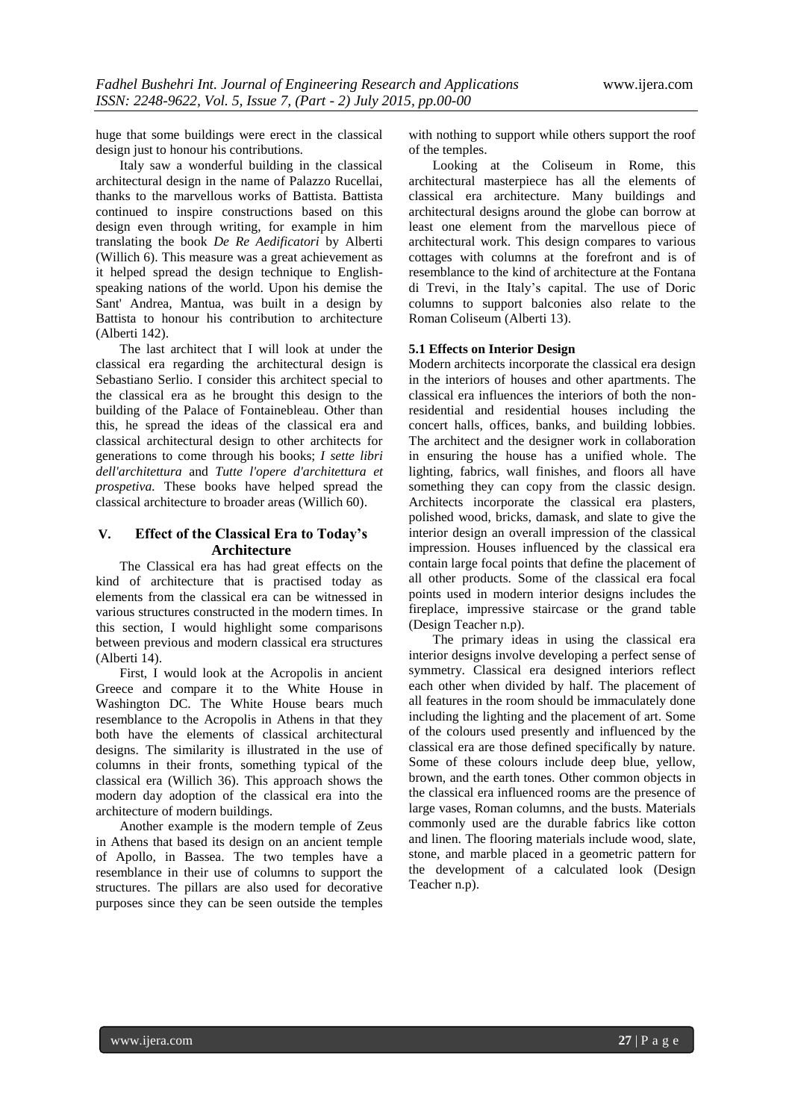huge that some buildings were erect in the classical design just to honour his contributions.

Italy saw a wonderful building in the classical architectural design in the name of Palazzo Rucellai, thanks to the marvellous works of Battista. Battista continued to inspire constructions based on this design even through writing, for example in him translating the book *De Re Aedificatori* by Alberti (Willich 6). This measure was a great achievement as it helped spread the design technique to Englishspeaking nations of the world. Upon his demise the Sant' Andrea, Mantua, was built in a design by Battista to honour his contribution to architecture  $(A$ lberti  $142)$ .

The last architect that I will look at under the classical era regarding the architectural design is [Sebastiano Serlio.](http://en.wikipedia.org/wiki/Sebastiano_Serlio) I consider this architect special to the classical era as he brought this design to the building of the [Palace of Fontainebleau.](http://en.wikipedia.org/wiki/Ch%C3%A2teau_de_Fontainebleau) Other than this, he spread the ideas of the classical era and classical architectural design to other architects for generations to come through his books; *I sette libri dell'architettura* and *Tutte l'opere d'architettura et prospetiva.* These books have helped spread the classical architecture to broader areas (Willich 60).

# **V. Effect of the Classical Era to Today's Architecture**

The Classical era has had great effects on the kind of architecture that is practised today as elements from the classical era can be witnessed in various structures constructed in the modern times. In this section, I would highlight some comparisons between previous and modern classical era structures (Alberti 14).

First, I would look at the Acropolis in ancient Greece and compare it to the White House in Washington DC. The White House bears much resemblance to the Acropolis in Athens in that they both have the elements of classical architectural designs. The similarity is illustrated in the use of columns in their fronts, something typical of the classical era (Willich 36). This approach shows the modern day adoption of the classical era into the architecture of modern buildings.

Another example is the modern temple of Zeus in Athens that based its design on an ancient temple of Apollo, in Bassea. The two temples have a resemblance in their use of columns to support the structures. The pillars are also used for decorative purposes since they can be seen outside the temples

with nothing to support while others support the roof of the temples.

Looking at the Coliseum in Rome, this architectural masterpiece has all the elements of classical era architecture. Many buildings and architectural designs around the globe can borrow at least one element from the marvellous piece of architectural work. This design compares to various cottages with columns at the forefront and is of resemblance to the kind of architecture at the Fontana di Trevi, in the Italy's capital. The use of Doric columns to support balconies also relate to the Roman Coliseum (Alberti 13).

#### **5.1 Effects on Interior Design**

Modern architects incorporate the classical era design in the interiors of houses and other apartments. The classical era influences the interiors of both the nonresidential and residential houses including the concert halls, offices, banks, and building lobbies. The architect and the designer work in collaboration in ensuring the house has a unified whole. The lighting, fabrics, wall finishes, and floors all have something they can copy from the classic design. Architects incorporate the classical era plasters, polished wood, bricks, damask, and slate to give the interior design an overall impression of the classical impression. Houses influenced by the classical era contain large focal points that define the placement of all other products. Some of the classical era focal points used in modern interior designs includes the fireplace, impressive staircase or the grand table (Design Teacher n.p).

The primary ideas in using the classical era interior designs involve developing a perfect sense of symmetry. Classical era designed interiors reflect each other when divided by half. The placement of all features in the room should be immaculately done including the lighting and the placement of art. Some of the colours used presently and influenced by the classical era are those defined specifically by nature. Some of these colours include deep blue, yellow, brown, and the earth tones. Other common objects in the classical era influenced rooms are the presence of large vases, Roman columns, and the busts. Materials commonly used are the durable fabrics like cotton and linen. The flooring materials include wood, slate, stone, and marble placed in a geometric pattern for the development of a calculated look (Design Teacher n.p).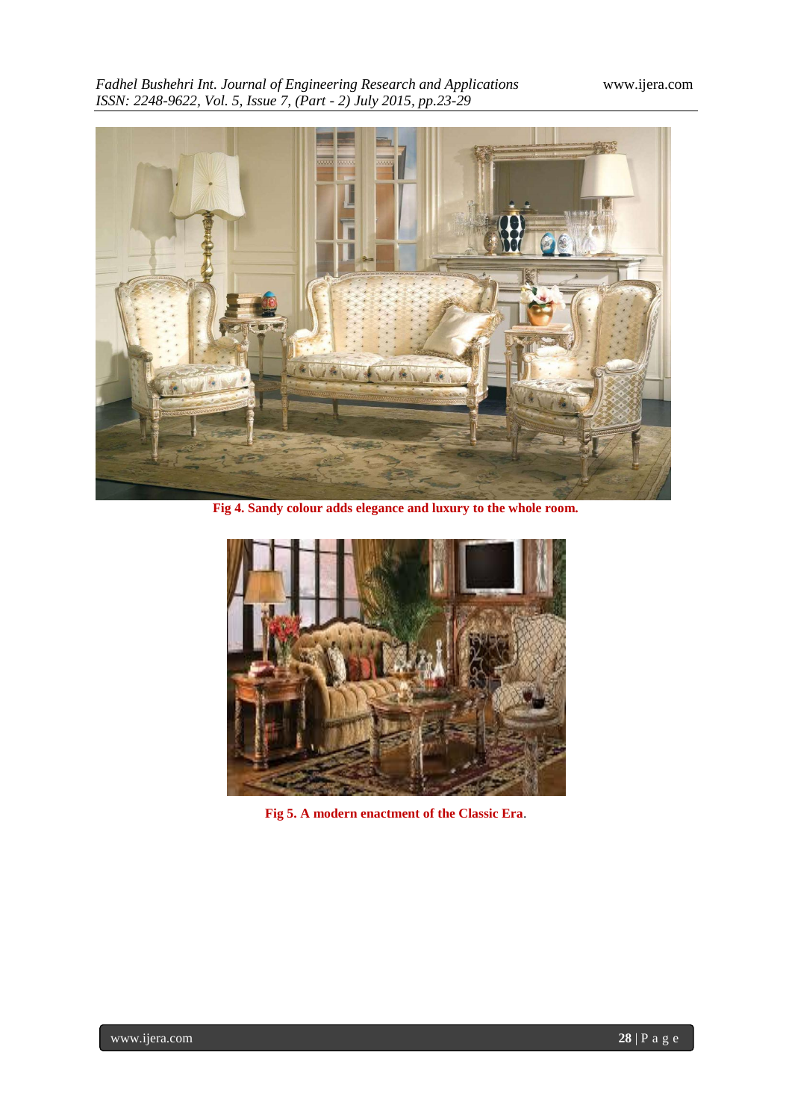*Fadhel Bushehri Int. Journal of Engineering Research and Applications* www.ijera.com *ISSN: 2248-9622, Vol. 5, Issue 7, (Part - 2) July 2015, pp.23-29*



**Fig 4. Sandy colour adds elegance and luxury to the whole room.**



**Fig 5. A modern enactment of the Classic Era**.